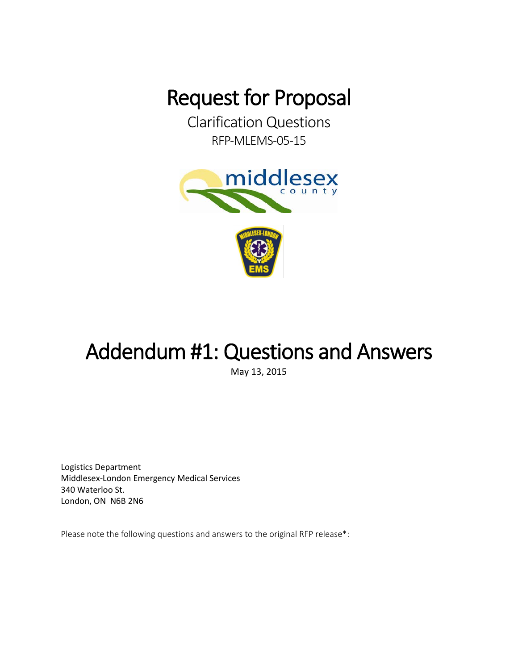**Request for Proposal<br>Clarification Questions** 

RFP-MLEMS-05-15



## Addendum #1: Questions and Answers

May 13, 2015

Logistics Department Middlesex-London Emergency Medical Services 340 Waterloo St. London, ON N6B 2N6

Please note the following questions and answers to the original RFP release\*: